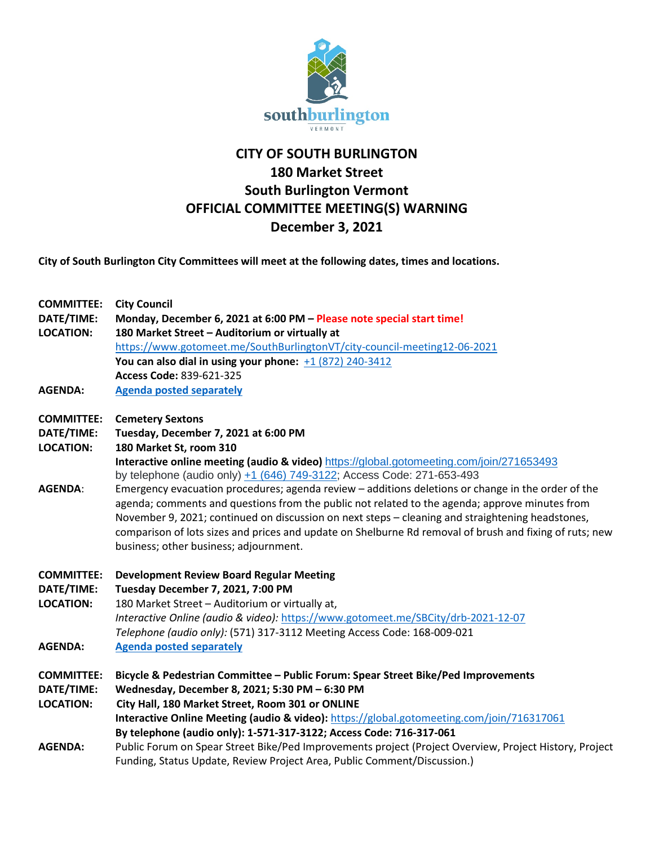

## **CITY OF SOUTH BURLINGTON 180 Market Street South Burlington Vermont OFFICIAL COMMITTEE MEETING(S) WARNING December 3, 2021**

**City of South Burlington City Committees will meet at the following dates, times and locations.** 

| <b>COMMITTEE:</b> | <b>City Council</b>                                                                                     |
|-------------------|---------------------------------------------------------------------------------------------------------|
| DATE/TIME:        | Monday, December 6, 2021 at 6:00 PM - Please note special start time!                                   |
| <b>LOCATION:</b>  | 180 Market Street - Auditorium or virtually at                                                          |
|                   | https://www.gotomeet.me/SouthBurlingtonVT/city-council-meeting12-06-2021                                |
|                   | You can also dial in using your phone: $+1$ (872) 240-3412                                              |
|                   | Access Code: 839-621-325                                                                                |
| <b>AGENDA:</b>    | <b>Agenda posted separately</b>                                                                         |
| <b>COMMITTEE:</b> | <b>Cemetery Sextons</b>                                                                                 |
| DATE/TIME:        | Tuesday, December 7, 2021 at 6:00 PM                                                                    |
| <b>LOCATION:</b>  | 180 Market St, room 310                                                                                 |
|                   | Interactive online meeting (audio & video) https://global.gotomeeting.com/join/271653493                |
|                   | by telephone (audio only) +1 (646) 749-3122; Access Code: 271-653-493                                   |
| <b>AGENDA:</b>    | Emergency evacuation procedures; agenda review - additions deletions or change in the order of the      |
|                   | agenda; comments and questions from the public not related to the agenda; approve minutes from          |
|                   | November 9, 2021; continued on discussion on next steps - cleaning and straightening headstones,        |
|                   | comparison of lots sizes and prices and update on Shelburne Rd removal of brush and fixing of ruts; new |
|                   | business; other business; adjournment.                                                                  |
| <b>COMMITTEE:</b> | <b>Development Review Board Regular Meeting</b>                                                         |
| DATE/TIME:        | Tuesday December 7, 2021, 7:00 PM                                                                       |
| <b>LOCATION:</b>  | 180 Market Street - Auditorium or virtually at,                                                         |
|                   | Interactive Online (audio & video): https://www.gotomeet.me/SBCity/drb-2021-12-07                       |
|                   | Telephone (audio only): (571) 317-3112 Meeting Access Code: 168-009-021                                 |
| <b>AGENDA:</b>    | <b>Agenda posted separately</b>                                                                         |
| <b>COMMITTEE:</b> | Bicycle & Pedestrian Committee - Public Forum: Spear Street Bike/Ped Improvements                       |
| DATE/TIME:        | Wednesday, December 8, 2021; 5:30 PM - 6:30 PM                                                          |
| <b>LOCATION:</b>  | City Hall, 180 Market Street, Room 301 or ONLINE                                                        |
|                   | Interactive Online Meeting (audio & video): https://global.gotomeeting.com/join/716317061               |
|                   | By telephone (audio only): 1-571-317-3122; Access Code: 716-317-061                                     |
| <b>AGENDA:</b>    | Public Forum on Spear Street Bike/Ped Improvements project (Project Overview, Project History, Project  |
|                   | Funding, Status Update, Review Project Area, Public Comment/Discussion.)                                |